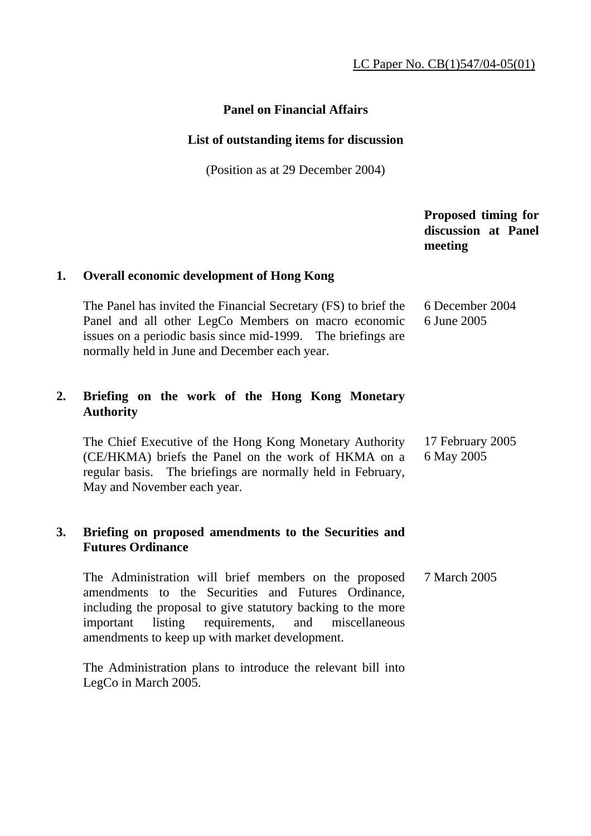# **Panel on Financial Affairs**

### **List of outstanding items for discussion**

(Position as at 29 December 2004)

|    |                                                                                                                                                                                                                                         | Proposed timing for<br>discussion at Panel<br>meeting |
|----|-----------------------------------------------------------------------------------------------------------------------------------------------------------------------------------------------------------------------------------------|-------------------------------------------------------|
| 1. | <b>Overall economic development of Hong Kong</b>                                                                                                                                                                                        |                                                       |
|    | The Panel has invited the Financial Secretary (FS) to brief the<br>Panel and all other LegCo Members on macro economic<br>issues on a periodic basis since mid-1999. The briefings are<br>normally held in June and December each year. | 6 December 2004<br>6 June 2005                        |
| 2. | Briefing on the work of the Hong Kong Monetary<br><b>Authority</b>                                                                                                                                                                      |                                                       |
|    | The Chief Executive of the Hong Kong Monetary Authority<br>(CE/HKMA) briefs the Panel on the work of HKMA on a<br>regular basis. The briefings are normally held in February,<br>May and November each year.                            | 17 February 2005<br>6 May 2005                        |
| 3. | Briefing on proposed amendments to the Securities and<br><b>Futures Ordinance</b>                                                                                                                                                       |                                                       |
|    | The Administration will brief members on the proposed<br>amendments to the Securities and Futures Ordinance,                                                                                                                            | 7 March 2005                                          |

including the proposal to give statutory backing to the more important listing requirements, and miscellaneous amendments to keep up with market development.

 The Administration plans to introduce the relevant bill into LegCo in March 2005.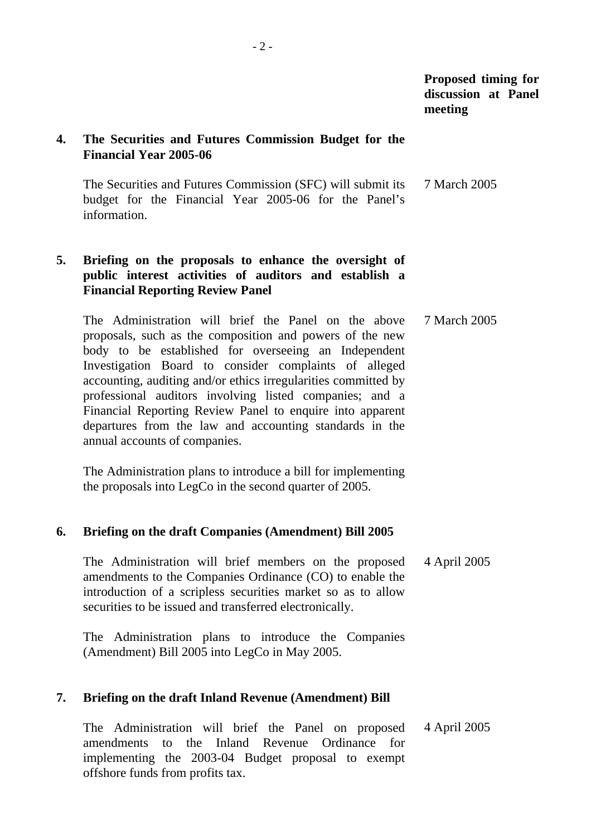### **4. The Securities and Futures Commission Budget for the Financial Year 2005-06**

 The Securities and Futures Commission (SFC) will submit its budget for the Financial Year 2005-06 for the Panel's information. 7 March 2005

## **5. Briefing on the proposals to enhance the oversight of public interest activities of auditors and establish a Financial Reporting Review Panel**

 The Administration will brief the Panel on the above proposals, such as the composition and powers of the new body to be established for overseeing an Independent Investigation Board to consider complaints of alleged accounting, auditing and/or ethics irregularities committed by professional auditors involving listed companies; and a Financial Reporting Review Panel to enquire into apparent departures from the law and accounting standards in the annual accounts of companies. 7 March 2005

 The Administration plans to introduce a bill for implementing the proposals into LegCo in the second quarter of 2005.

## **6. Briefing on the draft Companies (Amendment) Bill 2005**

 The Administration will brief members on the proposed amendments to the Companies Ordinance (CO) to enable the introduction of a scripless securities market so as to allow securities to be issued and transferred electronically. 4 April 2005

 The Administration plans to introduce the Companies (Amendment) Bill 2005 into LegCo in May 2005.

## **7. Briefing on the draft Inland Revenue (Amendment) Bill**

 The Administration will brief the Panel on proposed amendments to the Inland Revenue Ordinance for implementing the 2003-04 Budget proposal to exempt offshore funds from profits tax. 4 April 2005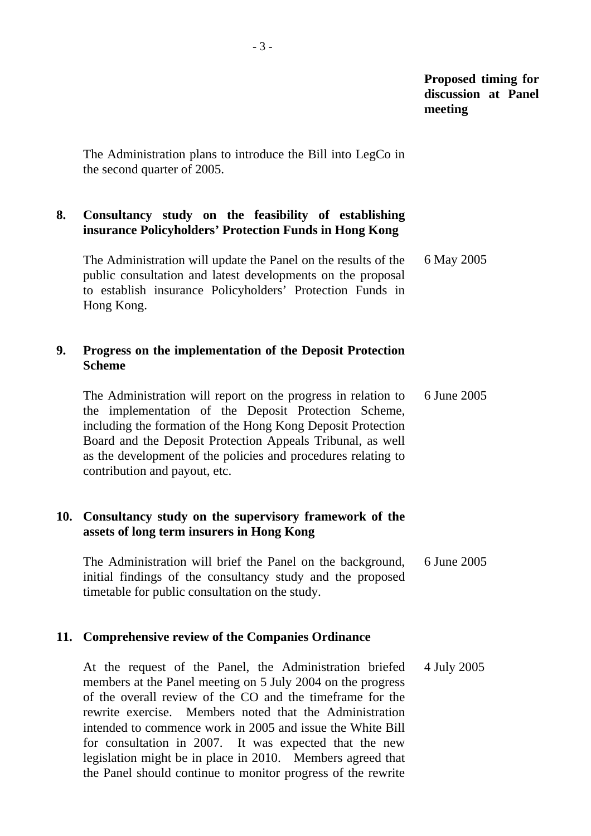The Administration plans to introduce the Bill into LegCo in the second quarter of 2005.

## **8. Consultancy study on the feasibility of establishing insurance Policyholders' Protection Funds in Hong Kong**

 The Administration will update the Panel on the results of the public consultation and latest developments on the proposal to establish insurance Policyholders' Protection Funds in Hong Kong. 6 May 2005

#### **9. Progress on the implementation of the Deposit Protection Scheme**

 The Administration will report on the progress in relation to the implementation of the Deposit Protection Scheme, including the formation of the Hong Kong Deposit Protection Board and the Deposit Protection Appeals Tribunal, as well as the development of the policies and procedures relating to contribution and payout, etc. 6 June 2005

### **10. Consultancy study on the supervisory framework of the assets of long term insurers in Hong Kong**

 The Administration will brief the Panel on the background, initial findings of the consultancy study and the proposed timetable for public consultation on the study. 6 June 2005

#### **11. Comprehensive review of the Companies Ordinance**

 At the request of the Panel, the Administration briefed members at the Panel meeting on 5 July 2004 on the progress of the overall review of the CO and the timeframe for the rewrite exercise. Members noted that the Administration intended to commence work in 2005 and issue the White Bill for consultation in 2007. It was expected that the new legislation might be in place in 2010. Members agreed that the Panel should continue to monitor progress of the rewrite 4 July 2005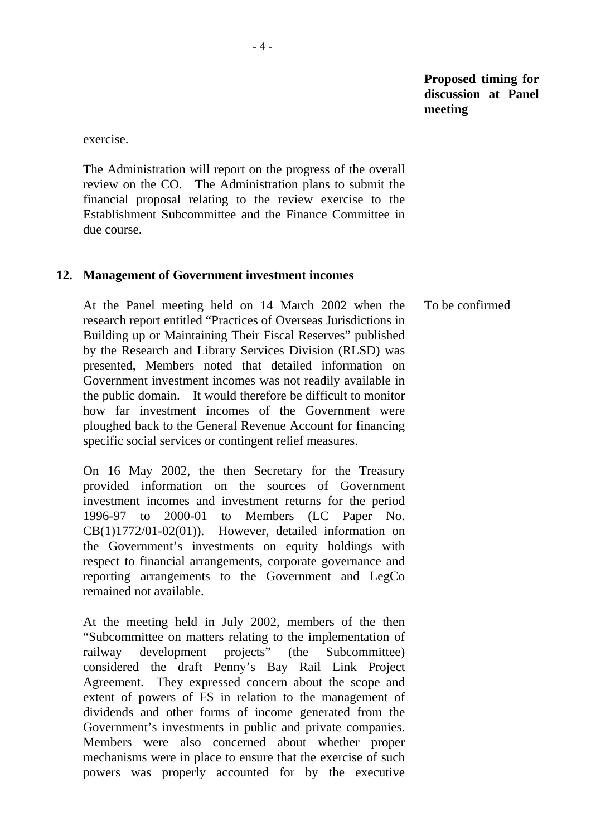exercise.

 The Administration will report on the progress of the overall review on the CO. The Administration plans to submit the financial proposal relating to the review exercise to the Establishment Subcommittee and the Finance Committee in due course.

#### **12. Management of Government investment incomes**

 At the Panel meeting held on 14 March 2002 when the research report entitled "Practices of Overseas Jurisdictions in Building up or Maintaining Their Fiscal Reserves" published by the Research and Library Services Division (RLSD) was presented, Members noted that detailed information on Government investment incomes was not readily available in the public domain. It would therefore be difficult to monitor how far investment incomes of the Government were ploughed back to the General Revenue Account for financing specific social services or contingent relief measures. To be confirmed

 On 16 May 2002, the then Secretary for the Treasury provided information on the sources of Government investment incomes and investment returns for the period 1996-97 to 2000-01 to Members (LC Paper No. CB(1)1772/01-02(01)). However, detailed information on the Government's investments on equity holdings with respect to financial arrangements, corporate governance and reporting arrangements to the Government and LegCo remained not available.

 At the meeting held in July 2002, members of the then "Subcommittee on matters relating to the implementation of railway development projects" (the Subcommittee) considered the draft Penny's Bay Rail Link Project Agreement. They expressed concern about the scope and extent of powers of FS in relation to the management of dividends and other forms of income generated from the Government's investments in public and private companies. Members were also concerned about whether proper mechanisms were in place to ensure that the exercise of such powers was properly accounted for by the executive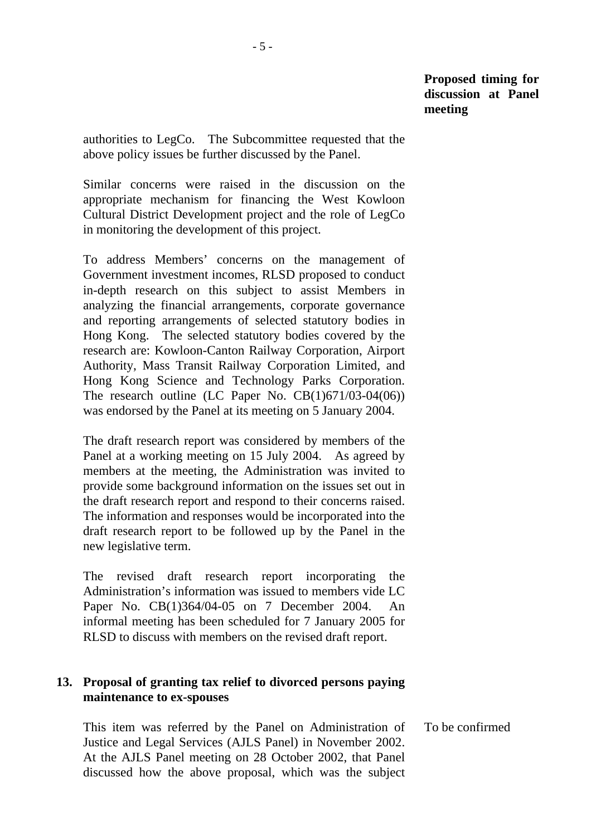authorities to LegCo. The Subcommittee requested that the above policy issues be further discussed by the Panel.

 Similar concerns were raised in the discussion on the appropriate mechanism for financing the West Kowloon Cultural District Development project and the role of LegCo in monitoring the development of this project.

 To address Members' concerns on the management of Government investment incomes, RLSD proposed to conduct in-depth research on this subject to assist Members in analyzing the financial arrangements, corporate governance and reporting arrangements of selected statutory bodies in Hong Kong. The selected statutory bodies covered by the research are: Kowloon-Canton Railway Corporation, Airport Authority, Mass Transit Railway Corporation Limited, and Hong Kong Science and Technology Parks Corporation. The research outline (LC Paper No.  $CB(1)671/03-04(06)$ ) was endorsed by the Panel at its meeting on 5 January 2004.

 The draft research report was considered by members of the Panel at a working meeting on 15 July 2004. As agreed by members at the meeting, the Administration was invited to provide some background information on the issues set out in the draft research report and respond to their concerns raised. The information and responses would be incorporated into the draft research report to be followed up by the Panel in the new legislative term.

 The revised draft research report incorporating the Administration's information was issued to members vide LC Paper No. CB(1)364/04-05 on 7 December 2004. An informal meeting has been scheduled for 7 January 2005 for RLSD to discuss with members on the revised draft report.

#### **13. Proposal of granting tax relief to divorced persons paying maintenance to ex-spouses**

 This item was referred by the Panel on Administration of Justice and Legal Services (AJLS Panel) in November 2002. At the AJLS Panel meeting on 28 October 2002, that Panel discussed how the above proposal, which was the subject To be confirmed